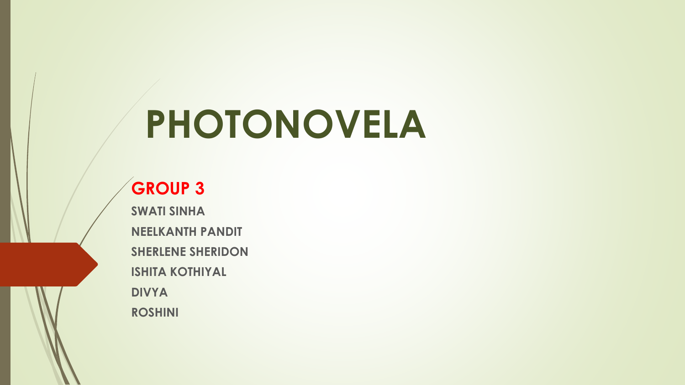## **PHOTONOVELA**

## **GROUP 3**

**SWATI SINHA NEELKANTH PANDIT SHERLENE SHERIDON ISHITA KOTHIYAL DIVYA ROSHINI**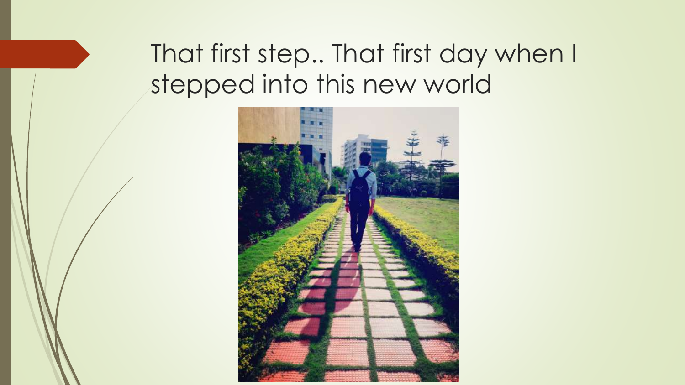## That first step.. That first day when I stepped into this new world

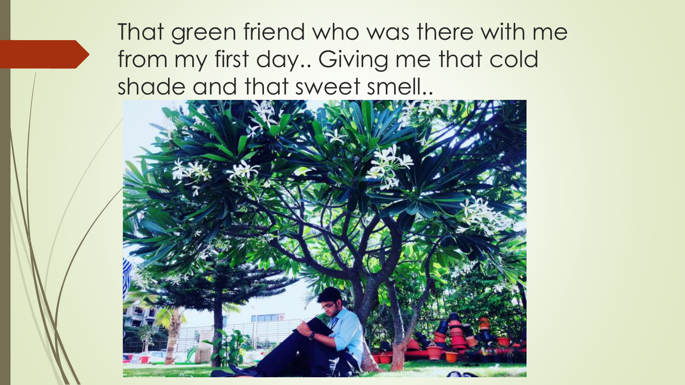That green friend who was there with me from my first day.. Giving me that cold shade and that sweet smell..

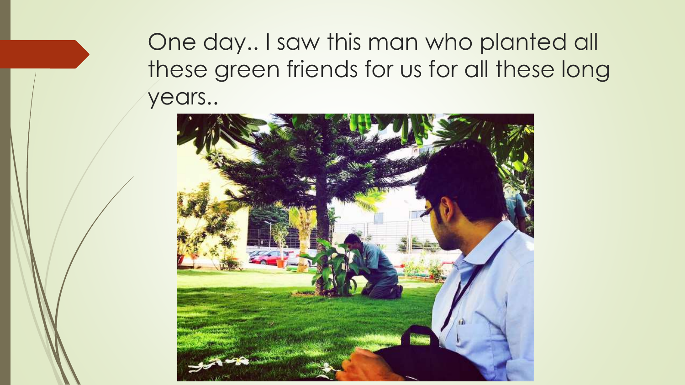One day.. I saw this man who planted all these green friends for us for all these long years..

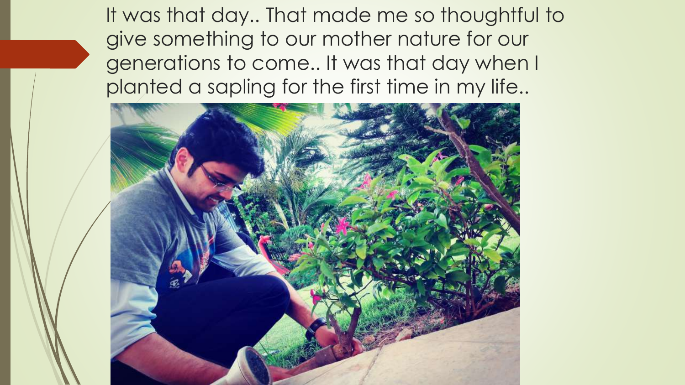It was that day.. That made me so thoughtful to give something to our mother nature for our generations to come.. It was that day when I planted a sapling for the first time in my life..

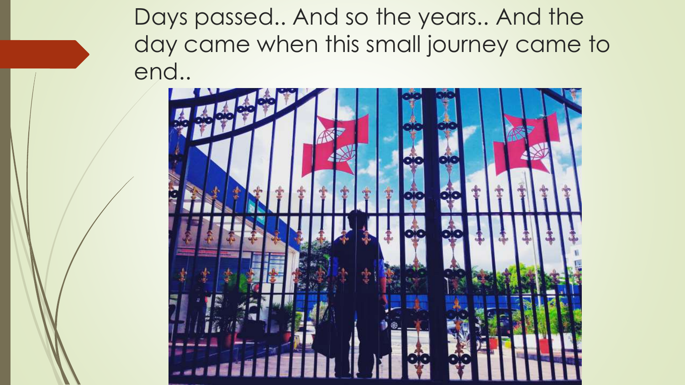Days passed.. And so the years.. And the day came when this small journey came to end..

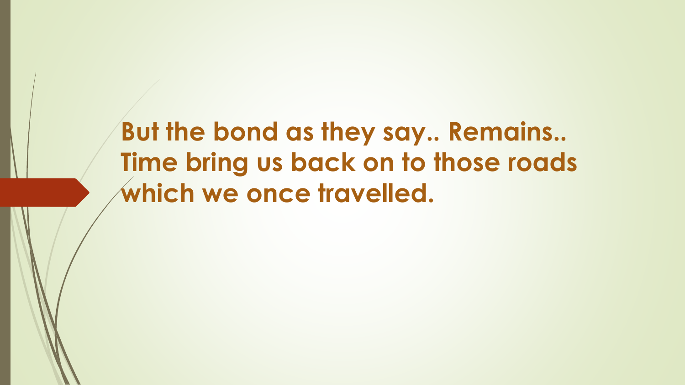**But the bond as they say.. Remains.. Time bring us back on to those roads which we once travelled.**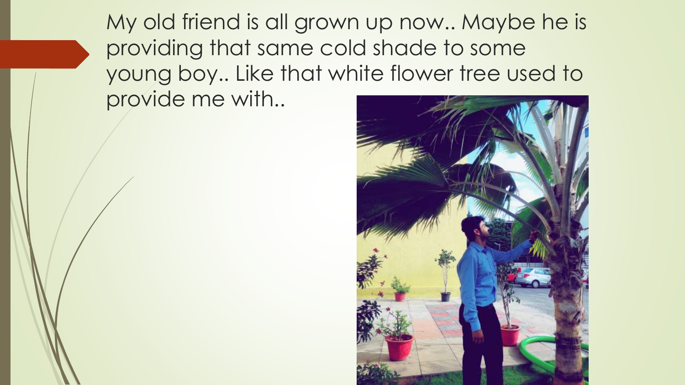My old friend is all grown up now.. Maybe he is providing that same cold shade to some young boy.. Like that white flower tree used to provide me with..

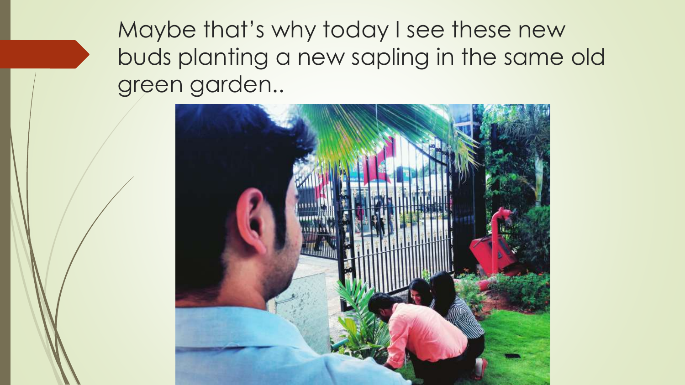Maybe that's why today I see these new buds planting a new sapling in the same old green garden..